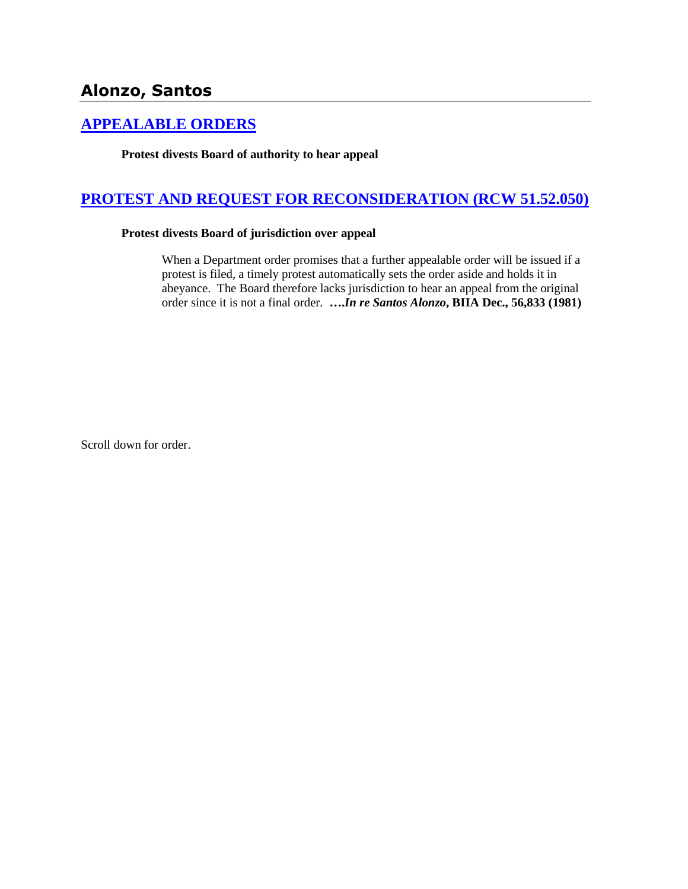# **Alonzo, Santos**

# **[APPEALABLE ORDERS](http://www.biia.wa.gov/SDSubjectIndex.html#APPEALABLE_ORDERS)**

**Protest divests Board of authority to hear appeal**

# **[PROTEST AND REQUEST FOR RECONSIDERATION \(RCW 51.52.050\)](http://www.biia.wa.gov/SDSubjectIndex.html#PROTEST_AND_REQUEST_FOR_RECONSIDERATION)**

#### **Protest divests Board of jurisdiction over appeal**

When a Department order promises that a further appealable order will be issued if a protest is filed, a timely protest automatically sets the order aside and holds it in abeyance. The Board therefore lacks jurisdiction to hear an appeal from the original order since it is not a final order. **….***In re Santos Alonzo***, BIIA Dec., 56,833 (1981)** 

Scroll down for order.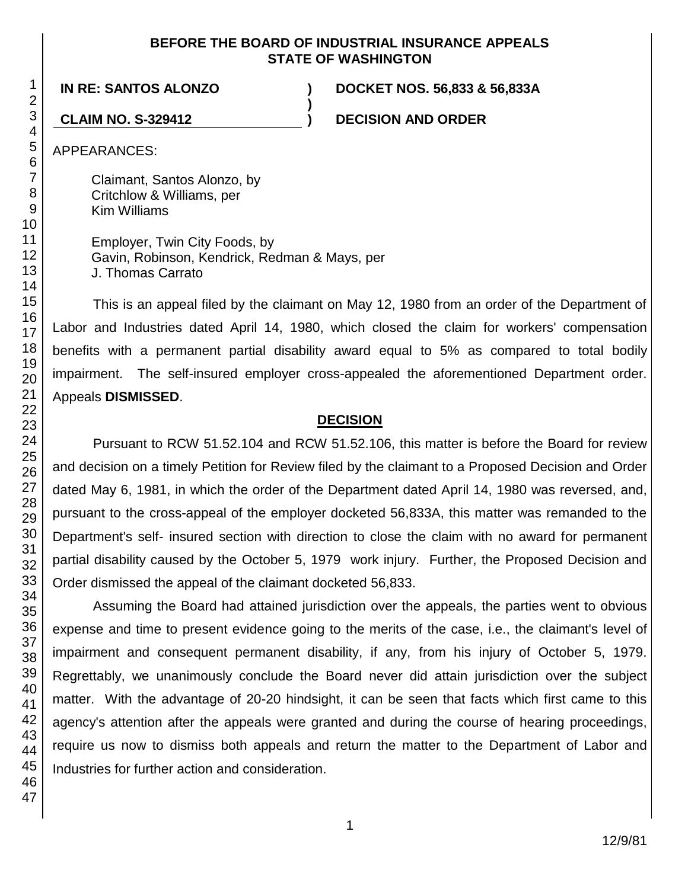### **BEFORE THE BOARD OF INDUSTRIAL INSURANCE APPEALS STATE OF WASHINGTON**

**)**

**IN RE: SANTOS ALONZO ) DOCKET NOS. 56,833 & 56,833A**

**CLAIM NO. S-329412 ) DECISION AND ORDER**

APPEARANCES:

Claimant, Santos Alonzo, by Critchlow & Williams, per Kim Williams

Employer, Twin City Foods, by Gavin, Robinson, Kendrick, Redman & Mays, per J. Thomas Carrato

This is an appeal filed by the claimant on May 12, 1980 from an order of the Department of Labor and Industries dated April 14, 1980, which closed the claim for workers' compensation benefits with a permanent partial disability award equal to 5% as compared to total bodily impairment. The self-insured employer cross-appealed the aforementioned Department order. Appeals **DISMISSED**.

## **DECISION**

Pursuant to RCW 51.52.104 and RCW 51.52.106, this matter is before the Board for review and decision on a timely Petition for Review filed by the claimant to a Proposed Decision and Order dated May 6, 1981, in which the order of the Department dated April 14, 1980 was reversed, and, pursuant to the cross-appeal of the employer docketed 56,833A, this matter was remanded to the Department's self- insured section with direction to close the claim with no award for permanent partial disability caused by the October 5, 1979 work injury. Further, the Proposed Decision and Order dismissed the appeal of the claimant docketed 56,833.

Assuming the Board had attained jurisdiction over the appeals, the parties went to obvious expense and time to present evidence going to the merits of the case, i.e., the claimant's level of impairment and consequent permanent disability, if any, from his injury of October 5, 1979. Regrettably, we unanimously conclude the Board never did attain jurisdiction over the subject matter. With the advantage of 20-20 hindsight, it can be seen that facts which first came to this agency's attention after the appeals were granted and during the course of hearing proceedings, require us now to dismiss both appeals and return the matter to the Department of Labor and Industries for further action and consideration.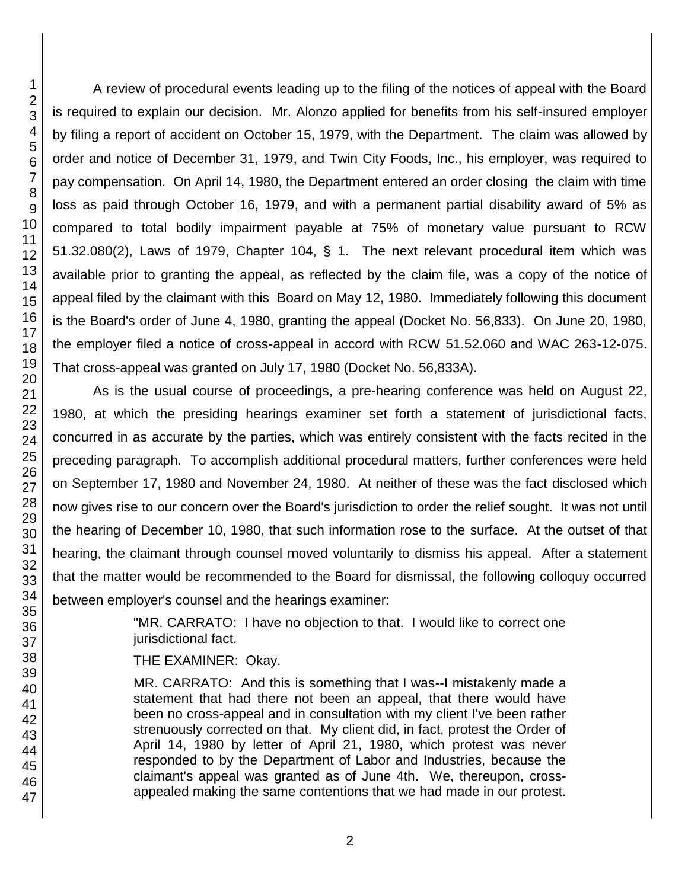A review of procedural events leading up to the filing of the notices of appeal with the Board is required to explain our decision. Mr. Alonzo applied for benefits from his self-insured employer by filing a report of accident on October 15, 1979, with the Department. The claim was allowed by order and notice of December 31, 1979, and Twin City Foods, Inc., his employer, was required to pay compensation. On April 14, 1980, the Department entered an order closing the claim with time loss as paid through October 16, 1979, and with a permanent partial disability award of 5% as compared to total bodily impairment payable at 75% of monetary value pursuant to RCW 51.32.080(2), Laws of 1979, Chapter 104, § 1. The next relevant procedural item which was available prior to granting the appeal, as reflected by the claim file, was a copy of the notice of appeal filed by the claimant with this Board on May 12, 1980. Immediately following this document is the Board's order of June 4, 1980, granting the appeal (Docket No. 56,833). On June 20, 1980, the employer filed a notice of cross-appeal in accord with RCW 51.52.060 and WAC 263-12-075. That cross-appeal was granted on July 17, 1980 (Docket No. 56,833A).

As is the usual course of proceedings, a pre-hearing conference was held on August 22, 1980, at which the presiding hearings examiner set forth a statement of jurisdictional facts, concurred in as accurate by the parties, which was entirely consistent with the facts recited in the preceding paragraph. To accomplish additional procedural matters, further conferences were held on September 17, 1980 and November 24, 1980. At neither of these was the fact disclosed which now gives rise to our concern over the Board's jurisdiction to order the relief sought. It was not until the hearing of December 10, 1980, that such information rose to the surface. At the outset of that hearing, the claimant through counsel moved voluntarily to dismiss his appeal. After a statement that the matter would be recommended to the Board for dismissal, the following colloquy occurred between employer's counsel and the hearings examiner:

> "MR. CARRATO: I have no objection to that. I would like to correct one jurisdictional fact.

### THE EXAMINER: Okay.

MR. CARRATO: And this is something that I was--I mistakenly made a statement that had there not been an appeal, that there would have been no cross-appeal and in consultation with my client I've been rather strenuously corrected on that. My client did, in fact, protest the Order of April 14, 1980 by letter of April 21, 1980, which protest was never responded to by the Department of Labor and Industries, because the claimant's appeal was granted as of June 4th. We, thereupon, crossappealed making the same contentions that we had made in our protest.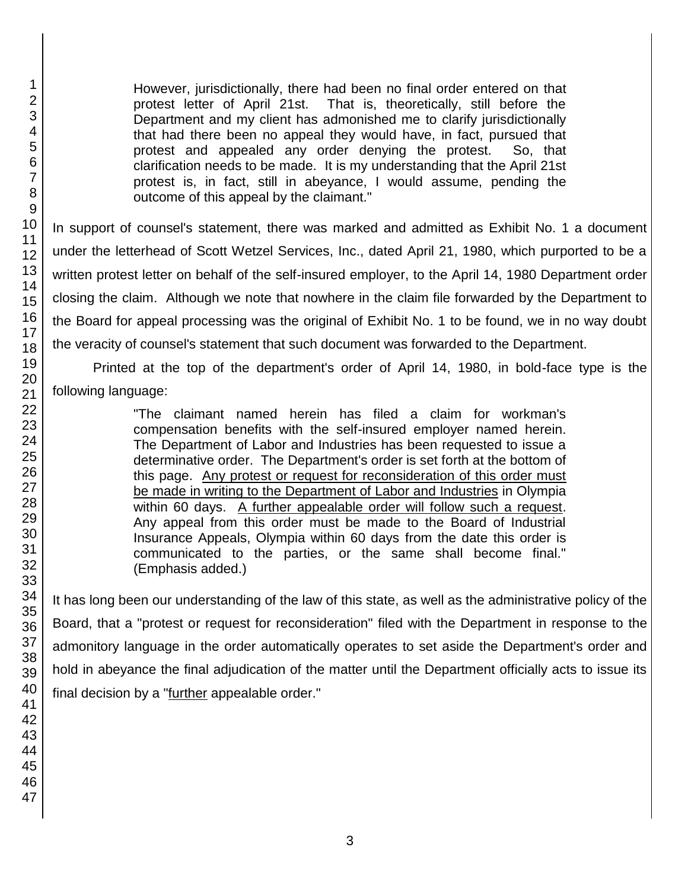However, jurisdictionally, there had been no final order entered on that protest letter of April 21st. That is, theoretically, still before the Department and my client has admonished me to clarify jurisdictionally that had there been no appeal they would have, in fact, pursued that protest and appealed any order denying the protest. So, that clarification needs to be made. It is my understanding that the April 21st protest is, in fact, still in abeyance, I would assume, pending the outcome of this appeal by the claimant."

In support of counsel's statement, there was marked and admitted as Exhibit No. 1 a document under the letterhead of Scott Wetzel Services, Inc., dated April 21, 1980, which purported to be a written protest letter on behalf of the self-insured employer, to the April 14, 1980 Department order closing the claim. Although we note that nowhere in the claim file forwarded by the Department to the Board for appeal processing was the original of Exhibit No. 1 to be found, we in no way doubt the veracity of counsel's statement that such document was forwarded to the Department.

Printed at the top of the department's order of April 14, 1980, in bold-face type is the following language:

> "The claimant named herein has filed a claim for workman's compensation benefits with the self-insured employer named herein. The Department of Labor and Industries has been requested to issue a determinative order. The Department's order is set forth at the bottom of this page. Any protest or request for reconsideration of this order must be made in writing to the Department of Labor and Industries in Olympia within 60 days. A further appealable order will follow such a request. Any appeal from this order must be made to the Board of Industrial Insurance Appeals, Olympia within 60 days from the date this order is communicated to the parties, or the same shall become final." (Emphasis added.)

It has long been our understanding of the law of this state, as well as the administrative policy of the Board, that a "protest or request for reconsideration" filed with the Department in response to the admonitory language in the order automatically operates to set aside the Department's order and hold in abeyance the final adjudication of the matter until the Department officially acts to issue its final decision by a "further appealable order."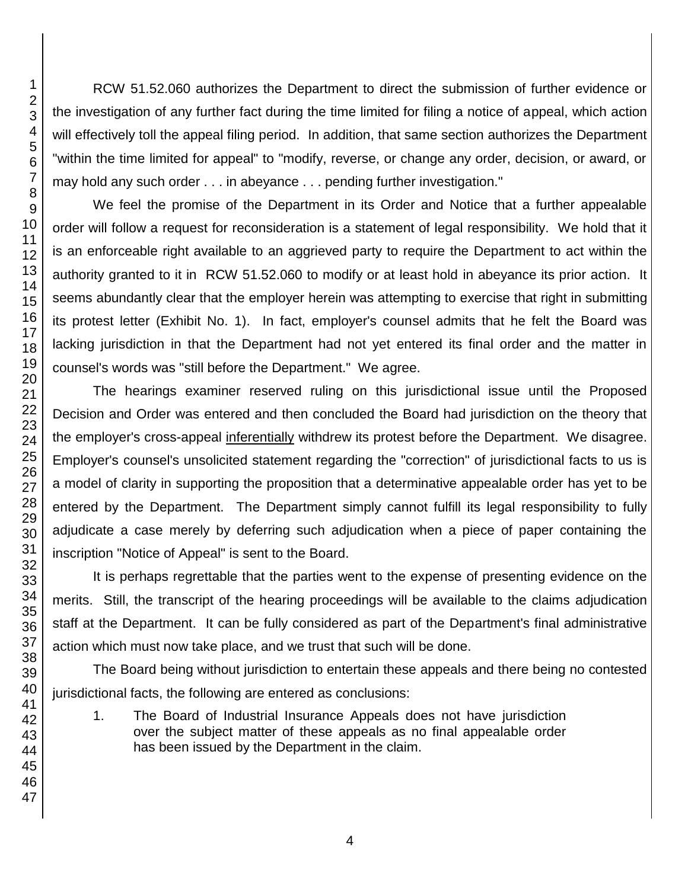RCW 51.52.060 authorizes the Department to direct the submission of further evidence or the investigation of any further fact during the time limited for filing a notice of appeal, which action will effectively toll the appeal filing period. In addition, that same section authorizes the Department "within the time limited for appeal" to "modify, reverse, or change any order, decision, or award, or may hold any such order . . . in abeyance . . . pending further investigation."

We feel the promise of the Department in its Order and Notice that a further appealable order will follow a request for reconsideration is a statement of legal responsibility. We hold that it is an enforceable right available to an aggrieved party to require the Department to act within the authority granted to it in RCW 51.52.060 to modify or at least hold in abeyance its prior action. It seems abundantly clear that the employer herein was attempting to exercise that right in submitting its protest letter (Exhibit No. 1). In fact, employer's counsel admits that he felt the Board was lacking jurisdiction in that the Department had not yet entered its final order and the matter in counsel's words was "still before the Department." We agree.

The hearings examiner reserved ruling on this jurisdictional issue until the Proposed Decision and Order was entered and then concluded the Board had jurisdiction on the theory that the employer's cross-appeal inferentially withdrew its protest before the Department. We disagree. Employer's counsel's unsolicited statement regarding the "correction" of jurisdictional facts to us is a model of clarity in supporting the proposition that a determinative appealable order has yet to be entered by the Department. The Department simply cannot fulfill its legal responsibility to fully adjudicate a case merely by deferring such adjudication when a piece of paper containing the inscription "Notice of Appeal" is sent to the Board.

It is perhaps regrettable that the parties went to the expense of presenting evidence on the merits. Still, the transcript of the hearing proceedings will be available to the claims adjudication staff at the Department. It can be fully considered as part of the Department's final administrative action which must now take place, and we trust that such will be done.

The Board being without jurisdiction to entertain these appeals and there being no contested jurisdictional facts, the following are entered as conclusions:

1. The Board of Industrial Insurance Appeals does not have jurisdiction over the subject matter of these appeals as no final appealable order has been issued by the Department in the claim.